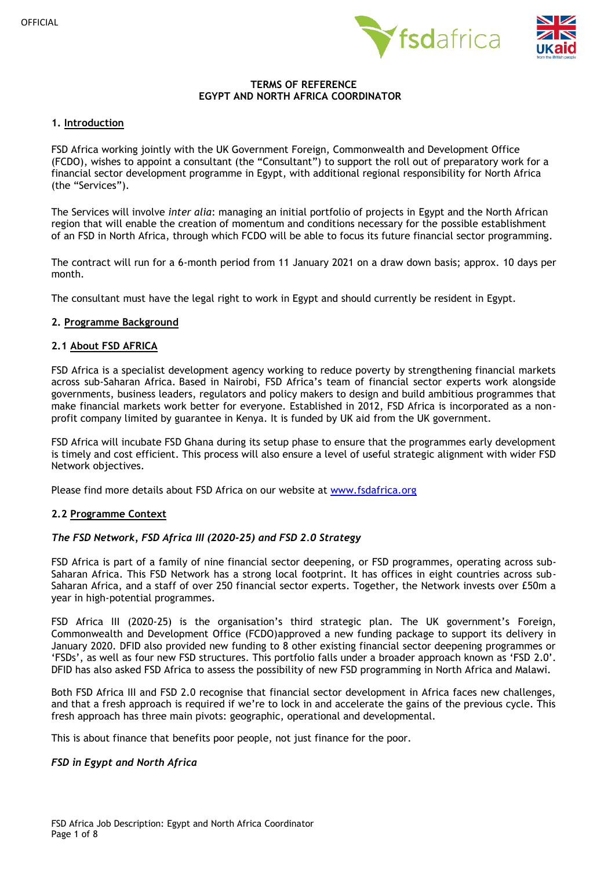



## **TERMS OF REFERENCE EGYPT AND NORTH AFRICA COORDINATOR**

### **1. Introduction**

FSD Africa working jointly with the UK Government Foreign, Commonwealth and Development Office (FCDO), wishes to appoint a consultant (the "Consultant") to support the roll out of preparatory work for a financial sector development programme in Egypt, with additional regional responsibility for North Africa (the "Services").

The Services will involve *inter alia*: managing an initial portfolio of projects in Egypt and the North African region that will enable the creation of momentum and conditions necessary for the possible establishment of an FSD in North Africa, through which FCDO will be able to focus its future financial sector programming.

The contract will run for a 6-month period from 11 January 2021 on a draw down basis; approx. 10 days per month.

The consultant must have the legal right to work in Egypt and should currently be resident in Egypt.

### **2. Programme Background**

### **2.1 About FSD AFRICA**

FSD Africa is a specialist development agency working to reduce poverty by strengthening financial markets across sub-Saharan Africa. Based in Nairobi, FSD Africa's team of financial sector experts work alongside governments, business leaders, regulators and policy makers to design and build ambitious programmes that make financial markets work better for everyone. Established in 2012, FSD Africa is incorporated as a nonprofit company limited by guarantee in Kenya. It is funded by UK aid from the UK government.

FSD Africa will incubate FSD Ghana during its setup phase to ensure that the programmes early development is timely and cost efficient. This process will also ensure a level of useful strategic alignment with wider FSD Network objectives.

Please find more details about FSD Africa on our website at [www.fsdafrica.org](http://www.fsdafrica.org/)

## **2.2 Programme Context**

## *The FSD Network, FSD Africa III (2020-25) and FSD 2.0 Strategy*

FSD Africa is part of a family of nine financial sector deepening, or FSD programmes, operating across sub-Saharan Africa. This FSD Network has a strong local footprint. It has offices in eight countries across sub-Saharan Africa, and a staff of over 250 financial sector experts. Together, the Network invests over £50m a year in high-potential programmes.

FSD Africa III (2020-25) is the organisation's third strategic plan. The UK government's Foreign, Commonwealth and Development Office (FCDO)approved a new funding package to support its delivery in January 2020. DFID also provided new funding to 8 other existing financial sector deepening programmes or 'FSDs', as well as four new FSD structures. This portfolio falls under a broader approach known as 'FSD 2.0'. DFID has also asked FSD Africa to assess the possibility of new FSD programming in North Africa and Malawi.

Both FSD Africa III and FSD 2.0 recognise that financial sector development in Africa faces new challenges, and that a fresh approach is required if we're to lock in and accelerate the gains of the previous cycle. This fresh approach has three main pivots: geographic, operational and developmental.

This is about finance that benefits poor people, not just finance for the poor.

#### *FSD in Egypt and North Africa*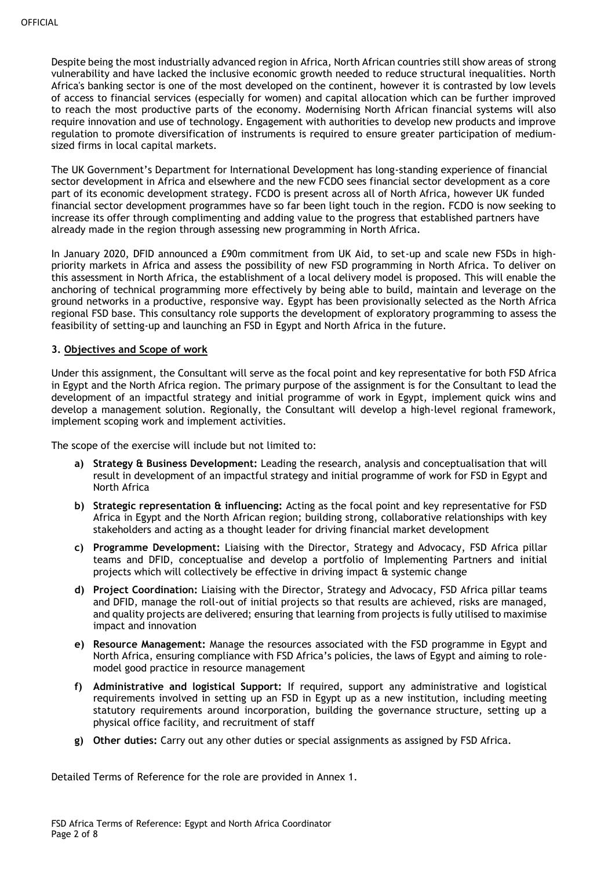Despite being the most industrially advanced region in Africa, North African countries still show areas of strong vulnerability and have lacked the inclusive economic growth needed to reduce structural inequalities. North Africa's banking sector is one of the most developed on the continent, however it is contrasted by low levels of access to financial services (especially for women) and capital allocation which can be further improved to reach the most productive parts of the economy. Modernising North African financial systems will also require innovation and use of technology. Engagement with authorities to develop new products and improve regulation to promote diversification of instruments is required to ensure greater participation of mediumsized firms in local capital markets.

The UK Government's Department for International Development has long-standing experience of financial sector development in Africa and elsewhere and the new FCDO sees financial sector development as a core part of its economic development strategy. FCDO is present across all of North Africa, however UK funded financial sector development programmes have so far been light touch in the region. FCDO is now seeking to increase its offer through complimenting and adding value to the progress that established partners have already made in the region through assessing new programming in North Africa.

In January 2020, DFID announced a £90m commitment from UK Aid, to set-up and scale new FSDs in highpriority markets in Africa and assess the possibility of new FSD programming in North Africa. To deliver on this assessment in North Africa, the establishment of a local delivery model is proposed. This will enable the anchoring of technical programming more effectively by being able to build, maintain and leverage on the ground networks in a productive, responsive way. Egypt has been provisionally selected as the North Africa regional FSD base. This consultancy role supports the development of exploratory programming to assess the feasibility of setting-up and launching an FSD in Egypt and North Africa in the future.

## **3. Objectives and Scope of work**

Under this assignment, the Consultant will serve as the focal point and key representative for both FSD Africa in Egypt and the North Africa region. The primary purpose of the assignment is for the Consultant to lead the development of an impactful strategy and initial programme of work in Egypt, implement quick wins and develop a management solution. Regionally, the Consultant will develop a high-level regional framework, implement scoping work and implement activities.

The scope of the exercise will include but not limited to:

- **a) Strategy & Business Development:** Leading the research, analysis and conceptualisation that will result in development of an impactful strategy and initial programme of work for FSD in Egypt and North Africa
- **b) Strategic representation & influencing:** Acting as the focal point and key representative for FSD Africa in Egypt and the North African region; building strong, collaborative relationships with key stakeholders and acting as a thought leader for driving financial market development
- **c) Programme Development:** Liaising with the Director, Strategy and Advocacy, FSD Africa pillar teams and DFID, conceptualise and develop a portfolio of Implementing Partners and initial projects which will collectively be effective in driving impact & systemic change
- **d) Project Coordination:** Liaising with the Director, Strategy and Advocacy, FSD Africa pillar teams and DFID, manage the roll-out of initial projects so that results are achieved, risks are managed, and quality projects are delivered; ensuring that learning from projects is fully utilised to maximise impact and innovation
- **e) Resource Management:** Manage the resources associated with the FSD programme in Egypt and North Africa, ensuring compliance with FSD Africa's policies, the laws of Egypt and aiming to rolemodel good practice in resource management
- **f) Administrative and logistical Support:** If required, support any administrative and logistical requirements involved in setting up an FSD in Egypt up as a new institution, including meeting statutory requirements around incorporation, building the governance structure, setting up a physical office facility, and recruitment of staff
- **g) Other duties:** Carry out any other duties or special assignments as assigned by FSD Africa.

Detailed Terms of Reference for the role are provided in Annex 1.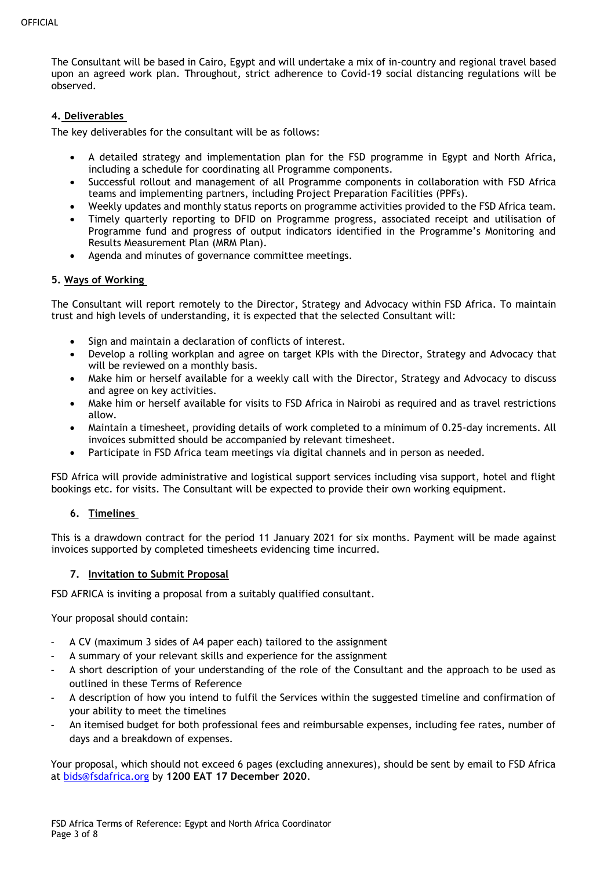The Consultant will be based in Cairo, Egypt and will undertake a mix of in-country and regional travel based upon an agreed work plan. Throughout, strict adherence to Covid-19 social distancing regulations will be observed.

## **4. Deliverables**

The key deliverables for the consultant will be as follows:

- A detailed strategy and implementation plan for the FSD programme in Egypt and North Africa, including a schedule for coordinating all Programme components.
- Successful rollout and management of all Programme components in collaboration with FSD Africa teams and implementing partners, including Project Preparation Facilities (PPFs).
- Weekly updates and monthly status reports on programme activities provided to the FSD Africa team.
- Timely quarterly reporting to DFID on Programme progress, associated receipt and utilisation of Programme fund and progress of output indicators identified in the Programme's Monitoring and Results Measurement Plan (MRM Plan).
- Agenda and minutes of governance committee meetings.

## **5. Ways of Working**

The Consultant will report remotely to the Director, Strategy and Advocacy within FSD Africa. To maintain trust and high levels of understanding, it is expected that the selected Consultant will:

- Sign and maintain a declaration of conflicts of interest.
- Develop a rolling workplan and agree on target KPIs with the Director, Strategy and Advocacy that will be reviewed on a monthly basis.
- Make him or herself available for a weekly call with the Director, Strategy and Advocacy to discuss and agree on key activities.
- Make him or herself available for visits to FSD Africa in Nairobi as required and as travel restrictions allow.
- Maintain a timesheet, providing details of work completed to a minimum of 0.25-day increments. All invoices submitted should be accompanied by relevant timesheet.
- Participate in FSD Africa team meetings via digital channels and in person as needed.

FSD Africa will provide administrative and logistical support services including visa support, hotel and flight bookings etc. for visits. The Consultant will be expected to provide their own working equipment.

## **6. Timelines**

This is a drawdown contract for the period 11 January 2021 for six months. Payment will be made against invoices supported by completed timesheets evidencing time incurred.

## **7. Invitation to Submit Proposal**

FSD AFRICA is inviting a proposal from a suitably qualified consultant.

Your proposal should contain:

- A CV (maximum 3 sides of A4 paper each) tailored to the assignment
- A summary of your relevant skills and experience for the assignment
- A short description of your understanding of the role of the Consultant and the approach to be used as outlined in these Terms of Reference
- A description of how you intend to fulfil the Services within the suggested timeline and confirmation of your ability to meet the timelines
- An itemised budget for both professional fees and reimbursable expenses, including fee rates, number of days and a breakdown of expenses.

Your proposal, which should not exceed 6 pages (excluding annexures), should be sent by email to FSD Africa at [bids@fsdafrica.org](mailto:bids@fsdafrica.org) by **1200 EAT 17 December 2020**.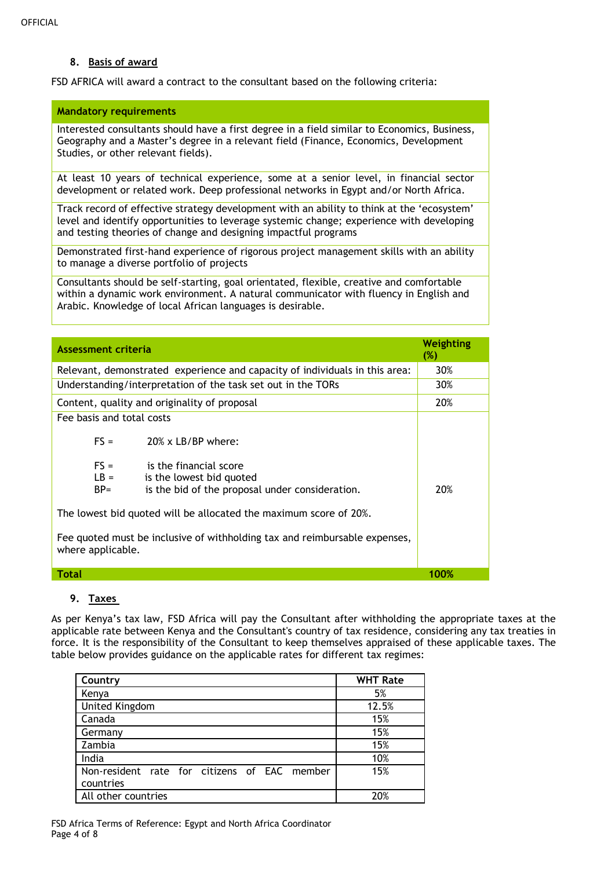## **8. Basis of award**

FSD AFRICA will award a contract to the consultant based on the following criteria:

#### **Mandatory requirements**

Interested consultants should have a first degree in a field similar to Economics, Business, Geography and a Master's degree in a relevant field (Finance, Economics, Development Studies, or other relevant fields).

At least 10 years of technical experience, some at a senior level, in financial sector development or related work. Deep professional networks in Egypt and/or North Africa.

Track record of effective strategy development with an ability to think at the 'ecosystem' level and identify opportunities to leverage systemic change; experience with developing and testing theories of change and designing impactful programs

Demonstrated first-hand experience of rigorous project management skills with an ability to manage a diverse portfolio of projects

Consultants should be self-starting, goal orientated, flexible, creative and comfortable within a dynamic work environment. A natural communicator with fluency in English and Arabic. Knowledge of local African languages is desirable.

| <b>Assessment criteria</b>                                                                      |                                                                                                                                | Weighting<br>$(\%)$ |
|-------------------------------------------------------------------------------------------------|--------------------------------------------------------------------------------------------------------------------------------|---------------------|
| Relevant, demonstrated experience and capacity of individuals in this area:                     |                                                                                                                                | 30%                 |
| Understanding/interpretation of the task set out in the TORs                                    |                                                                                                                                | 30%                 |
| Content, quality and originality of proposal                                                    |                                                                                                                                | 20%                 |
| Fee basis and total costs<br>$FS =$<br>$FS =$<br>$LB =$<br>$BP =$                               | $20\%$ x LB/BP where:<br>is the financial score<br>is the lowest bid quoted<br>is the bid of the proposal under consideration. | 20%                 |
| The lowest bid quoted will be allocated the maximum score of 20%.                               |                                                                                                                                |                     |
| Fee quoted must be inclusive of withholding tax and reimbursable expenses,<br>where applicable. |                                                                                                                                |                     |
| <b>Total</b>                                                                                    |                                                                                                                                | 100%                |

## **9. Taxes**

As per Kenya's tax law, FSD Africa will pay the Consultant after withholding the appropriate taxes at the applicable rate between Kenya and the Consultant's country of tax residence, considering any tax treaties in force. It is the responsibility of the Consultant to keep themselves appraised of these applicable taxes. The table below provides guidance on the applicable rates for different tax regimes:

| Country                                      | <b>WHT Rate</b> |
|----------------------------------------------|-----------------|
| Kenya                                        | 5%              |
| <b>United Kingdom</b>                        | 12.5%           |
| Canada                                       | 15%             |
| Germany                                      | 15%             |
| Zambia                                       | 15%             |
| India                                        | 10%             |
| Non-resident rate for citizens of EAC member | 15%             |
| countries                                    |                 |
| All other countries                          | 20%             |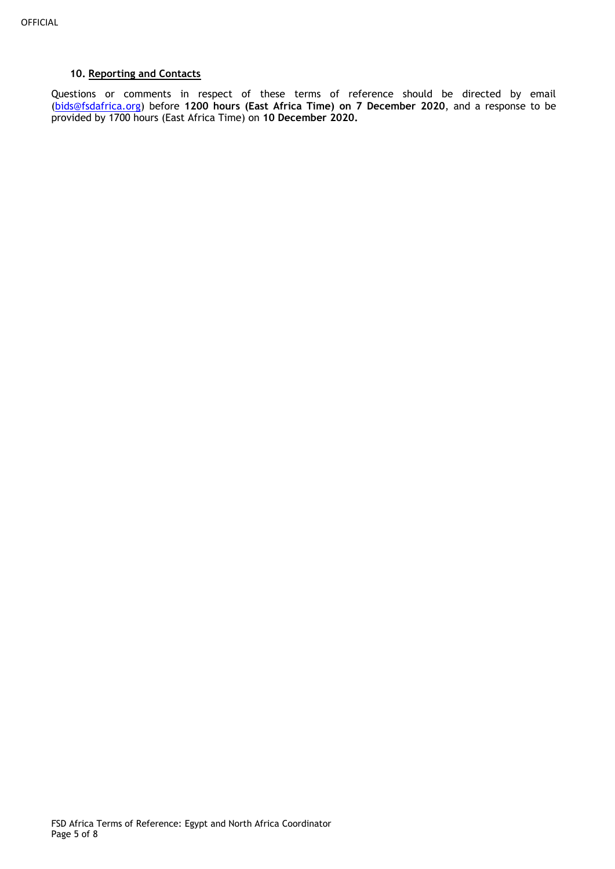# **10. Reporting and Contacts**

Questions or comments in respect of these terms of reference should be directed by email [\(bids@fsdafrica.org\)](mailto:joe@fsdafrica.org) before **1200 hours (East Africa Time) on 7 December 2020**, and a response to be provided by 1700 hours (East Africa Time) on **10 December 2020.**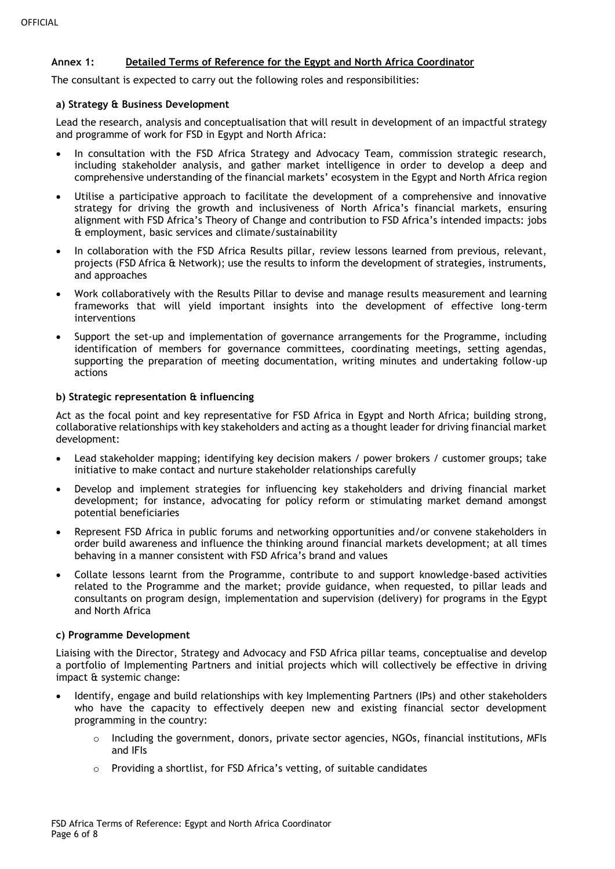## **Annex 1: Detailed Terms of Reference for the Egypt and North Africa Coordinator**

The consultant is expected to carry out the following roles and responsibilities:

### **a) Strategy & Business Development**

Lead the research, analysis and conceptualisation that will result in development of an impactful strategy and programme of work for FSD in Egypt and North Africa:

- In consultation with the FSD Africa Strategy and Advocacy Team, commission strategic research, including stakeholder analysis, and gather market intelligence in order to develop a deep and comprehensive understanding of the financial markets' ecosystem in the Egypt and North Africa region
- Utilise a participative approach to facilitate the development of a comprehensive and innovative strategy for driving the growth and inclusiveness of North Africa's financial markets, ensuring alignment with FSD Africa's Theory of Change and contribution to FSD Africa's intended impacts: jobs & employment, basic services and climate/sustainability
- In collaboration with the FSD Africa Results pillar, review lessons learned from previous, relevant, projects (FSD Africa & Network); use the results to inform the development of strategies, instruments, and approaches
- Work collaboratively with the Results Pillar to devise and manage results measurement and learning frameworks that will yield important insights into the development of effective long-term interventions
- Support the set-up and implementation of governance arrangements for the Programme, including identification of members for governance committees, coordinating meetings, setting agendas, supporting the preparation of meeting documentation, writing minutes and undertaking follow-up actions

### **b) Strategic representation & influencing**

Act as the focal point and key representative for FSD Africa in Egypt and North Africa; building strong, collaborative relationships with key stakeholders and acting as a thought leader for driving financial market development:

- Lead stakeholder mapping; identifying key decision makers / power brokers / customer groups; take initiative to make contact and nurture stakeholder relationships carefully
- Develop and implement strategies for influencing key stakeholders and driving financial market development; for instance, advocating for policy reform or stimulating market demand amongst potential beneficiaries
- Represent FSD Africa in public forums and networking opportunities and/or convene stakeholders in order build awareness and influence the thinking around financial markets development; at all times behaving in a manner consistent with FSD Africa's brand and values
- Collate lessons learnt from the Programme, contribute to and support knowledge-based activities related to the Programme and the market; provide guidance, when requested, to pillar leads and consultants on program design, implementation and supervision (delivery) for programs in the Egypt and North Africa

#### **c) Programme Development**

Liaising with the Director, Strategy and Advocacy and FSD Africa pillar teams, conceptualise and develop a portfolio of Implementing Partners and initial projects which will collectively be effective in driving impact & systemic change:

- Identify, engage and build relationships with key Implementing Partners (IPs) and other stakeholders who have the capacity to effectively deepen new and existing financial sector development programming in the country:
	- $\circ$  Including the government, donors, private sector agencies, NGOs, financial institutions, MFIs and IFIs
	- o Providing a shortlist, for FSD Africa's vetting, of suitable candidates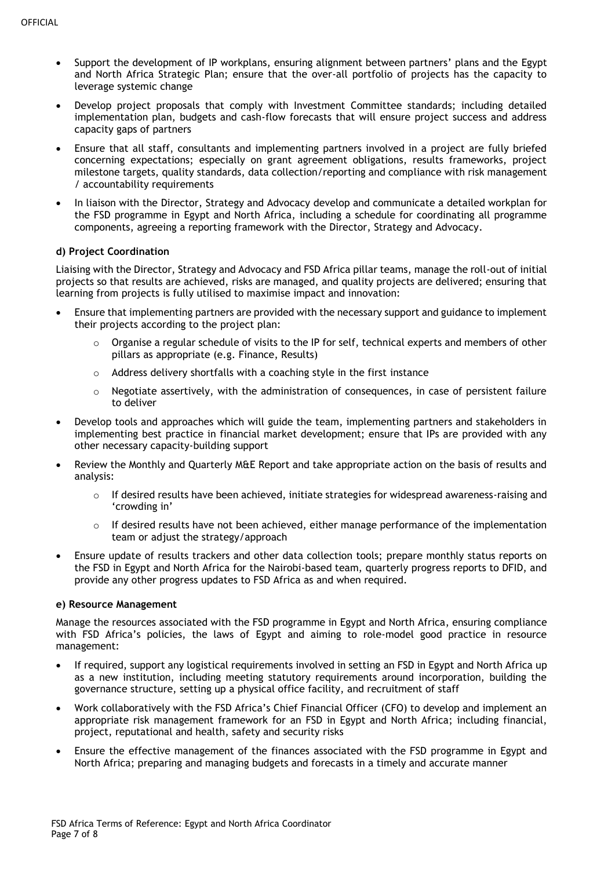- Support the development of IP workplans, ensuring alignment between partners' plans and the Egypt and North Africa Strategic Plan; ensure that the over-all portfolio of projects has the capacity to leverage systemic change
- Develop project proposals that comply with Investment Committee standards; including detailed implementation plan, budgets and cash-flow forecasts that will ensure project success and address capacity gaps of partners
- Ensure that all staff, consultants and implementing partners involved in a project are fully briefed concerning expectations; especially on grant agreement obligations, results frameworks, project milestone targets, quality standards, data collection/reporting and compliance with risk management / accountability requirements
- In liaison with the Director, Strategy and Advocacy develop and communicate a detailed workplan for the FSD programme in Egypt and North Africa, including a schedule for coordinating all programme components, agreeing a reporting framework with the Director, Strategy and Advocacy.

## **d) Project Coordination**

Liaising with the Director, Strategy and Advocacy and FSD Africa pillar teams, manage the roll-out of initial projects so that results are achieved, risks are managed, and quality projects are delivered; ensuring that learning from projects is fully utilised to maximise impact and innovation:

- Ensure that implementing partners are provided with the necessary support and guidance to implement their projects according to the project plan:
	- $\circ$  Organise a regular schedule of visits to the IP for self, technical experts and members of other pillars as appropriate (e.g. Finance, Results)
	- $\circ$  Address delivery shortfalls with a coaching style in the first instance
	- $\circ$  Negotiate assertively, with the administration of consequences, in case of persistent failure to deliver
- Develop tools and approaches which will guide the team, implementing partners and stakeholders in implementing best practice in financial market development; ensure that IPs are provided with any other necessary capacity-building support
- Review the Monthly and Quarterly M&E Report and take appropriate action on the basis of results and analysis:
	- $\circ$  If desired results have been achieved, initiate strategies for widespread awareness-raising and 'crowding in'
	- o If desired results have not been achieved, either manage performance of the implementation team or adjust the strategy/approach
- Ensure update of results trackers and other data collection tools; prepare monthly status reports on the FSD in Egypt and North Africa for the Nairobi-based team, quarterly progress reports to DFID, and provide any other progress updates to FSD Africa as and when required.

## **e) Resource Management**

Manage the resources associated with the FSD programme in Egypt and North Africa, ensuring compliance with FSD Africa's policies, the laws of Egypt and aiming to role-model good practice in resource management:

- If required, support any logistical requirements involved in setting an FSD in Egypt and North Africa up as a new institution, including meeting statutory requirements around incorporation, building the governance structure, setting up a physical office facility, and recruitment of staff
- Work collaboratively with the FSD Africa's Chief Financial Officer (CFO) to develop and implement an appropriate risk management framework for an FSD in Egypt and North Africa; including financial, project, reputational and health, safety and security risks
- Ensure the effective management of the finances associated with the FSD programme in Egypt and North Africa; preparing and managing budgets and forecasts in a timely and accurate manner